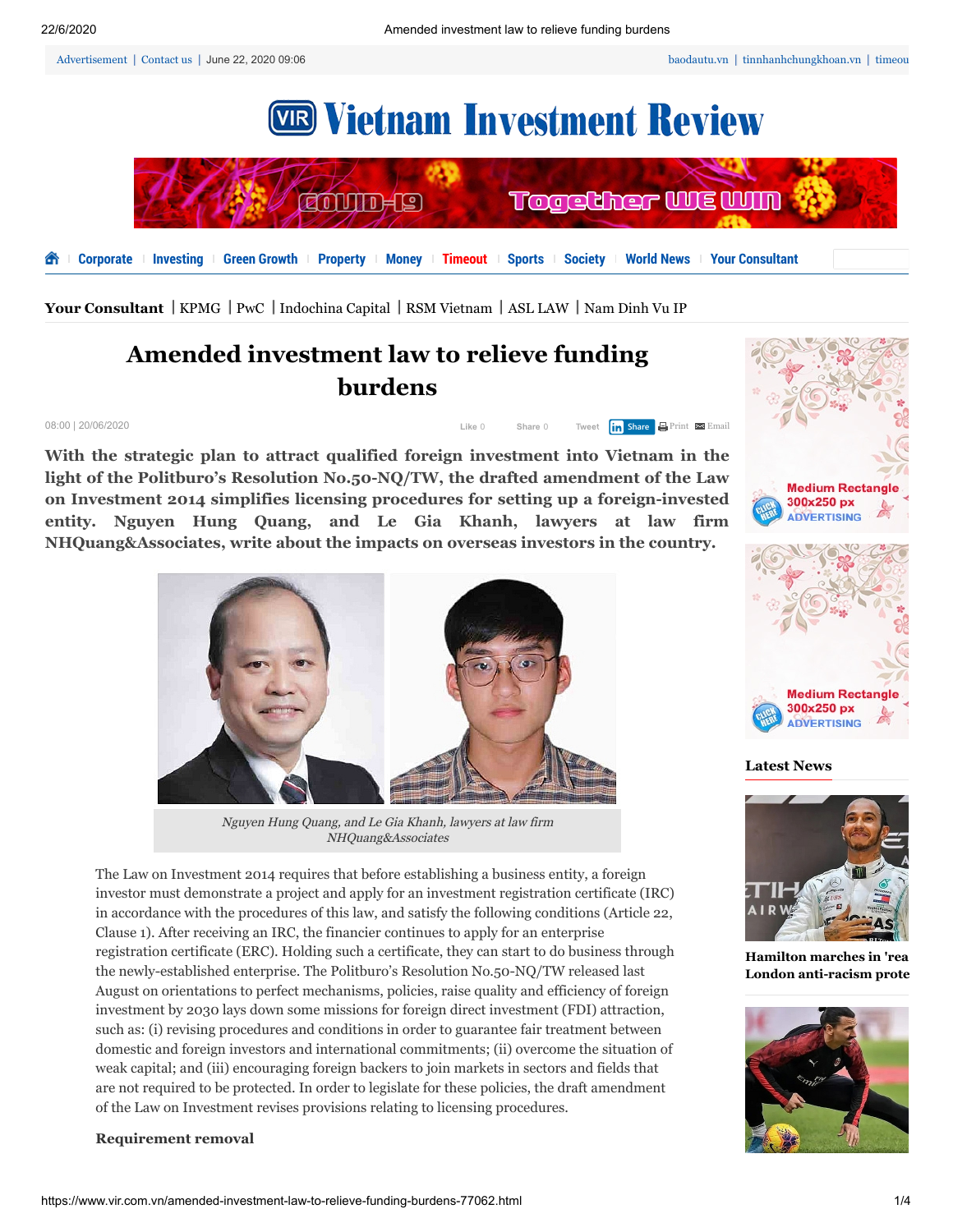[Advertisement](https://www.vir.com.vn/advertisement) | [Contact us](https://www.vir.com.vn/contact-us) | June 22, 2020 09:06



[Your Consultant](https://www.vir.com.vn/your-consultant) | [KPMG](https://www.vir.com.vn/your-consultant/kpmg) | [PwC](https://www.vir.com.vn/your-consultant/pwc) | [Indochina Capital](https://www.vir.com.vn/your-consultant/indochina-capital) | [RSM Vietnam](https://www.vir.com.vn/your-consultant/rsm-vietnam) | [ASL LAW](https://www.vir.com.vn/your-consultant/asl-law) | [Nam Dinh Vu IP](https://www.vir.com.vn/your-consultant/nam-dinh-vu-ip)

# **Amended investment law to relieve funding burdens**

08:00 | 20/06/2020 Like 0

| Like 0 | Share 0 | Tweet <b>in Share</b> Print <b>Example</b> |  |
|--------|---------|--------------------------------------------|--|
|        |         |                                            |  |

**With the strategic plan to attract qualified foreign investment into Vietnam in the light of the Politburo's Resolution No.50-NQ/TW, the drafted amendment of the Law on Investment 2014 simplifies licensing procedures for setting up a foreign-invested entity. Nguyen Hung Quang, and Le Gia Khanh, lawyers at law firm NHQuang&Associates, write about the impacts on overseas investors in the country.**



Nguyen Hung Quang, and Le Gia Khanh, lawyers at law firm NHQuang&Associates

The Law on Investment 2014 requires that before establishing a business entity, a foreign investor must demonstrate a project and apply for an investment registration certificate (IRC) in accordance with the procedures of this law, and satisfy the following conditions (Article 22, Clause 1). After receiving an IRC, the financier continues to apply for an enterprise registration certificate (ERC). Holding such a certificate, they can start to do business through the newly-established enterprise. The Politburo's Resolution No.50-NQ/TW released last August on orientations to perfect mechanisms, policies, raise quality and efficiency of foreign investment by 2030 lays down some missions for foreign direct investment (FDI) attraction, such as: (i) revising procedures and conditions in order to guarantee fair treatment between domestic and foreign investors and international commitments; (ii) overcome the situation of weak capital; and (iii) encouraging foreign backers to join markets in sectors and fields that are not required to be protected. In order to legislate for these policies, the draft amendment of the Law on Investment revises provisions relating to licensing procedures.

#### **Requirement removal**



**Latest News**



**Hamilton marches in 'rea [London anti-racism prote](https://www.vir.com.vn/hamilton-marches-in-really-moving-london-anti-racism-protest-77215.html)**